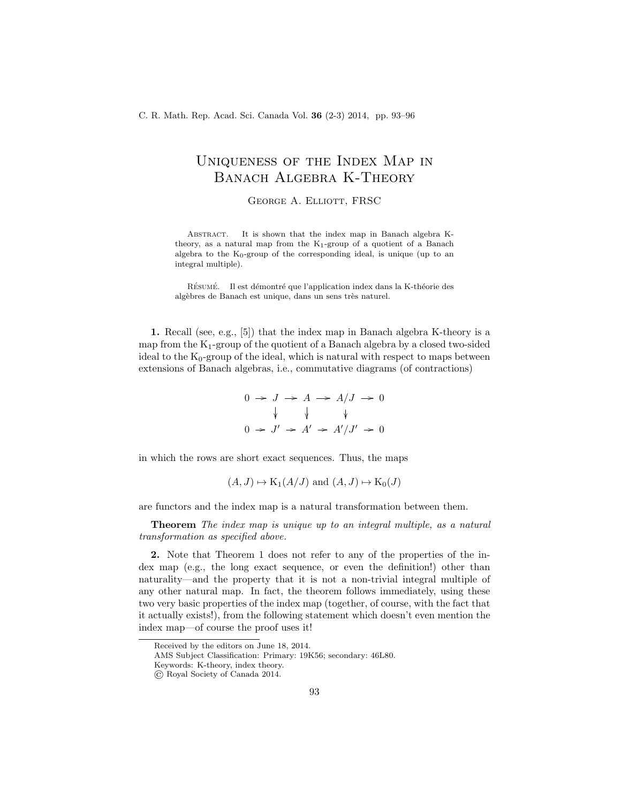## Uniqueness of the Index Map in Banach Algebra K-Theory

George A. Elliott, FRSC

ABSTRACT. It is shown that the index map in Banach algebra Ktheory, as a natural map from the  $K_1$ -group of a quotient of a Banach algebra to the  $K_0$ -group of the corresponding ideal, is unique (up to an integral multiple).

RÉSUMÉ. Il est démontré que l'application index dans la K-théorie des algèbres de Banach est unique, dans un sens très naturel.

1. Recall (see, e.g., [5]) that the index map in Banach algebra K-theory is a map from the  $K_1$ -group of the quotient of a Banach algebra by a closed two-sided ideal to the  $K_0$ -group of the ideal, which is natural with respect to maps between extensions of Banach algebras, i.e., commutative diagrams (of contractions)

$$
0 \to J \to A \to A/J \to 0
$$
  

$$
\downarrow \qquad \downarrow \qquad \downarrow
$$
  

$$
0 \to J' \to A' \to A'/J' \to 0
$$

in which the rows are short exact sequences. Thus, the maps

$$
(A, J) \mapsto K_1(A/J)
$$
 and  $(A, J) \mapsto K_0(J)$ 

are functors and the index map is a natural transformation between them.

Theorem The index map is unique up to an integral multiple, as a natural transformation as specified above.

2. Note that Theorem 1 does not refer to any of the properties of the index map (e.g., the long exact sequence, or even the definition!) other than naturality—and the property that it is not a non-trivial integral multiple of any other natural map. In fact, the theorem follows immediately, using these two very basic properties of the index map (together, of course, with the fact that it actually exists!), from the following statement which doesn't even mention the index map—of course the proof uses it!

AMS Subject Classification: Primary: 19K56; secondary: 46L80.

Received by the editors on June 18, 2014.

Keywords: K-theory, index theory.

<sup>©</sup> Royal Society of Canada 2014.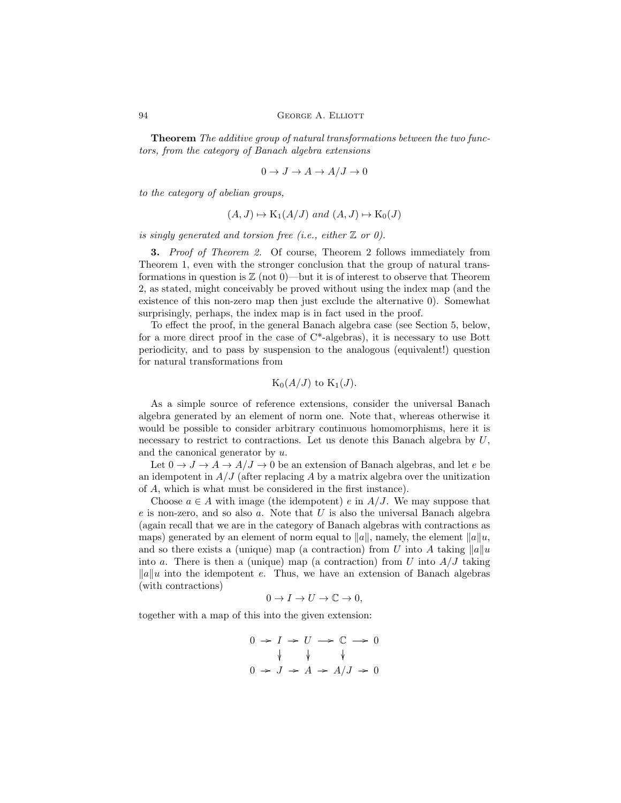Theorem The additive group of natural transformations between the two functors, from the category of Banach algebra extensions

$$
0 \to J \to A \to A/J \to 0
$$

to the category of abelian groups,

$$
(A, J) \mapsto K_1(A/J)
$$
 and  $(A, J) \mapsto K_0(J)$ 

is singly generated and torsion free (i.e., either  $\mathbb Z$  or 0).

**3.** Proof of Theorem 2. Of course, Theorem 2 follows immediately from Theorem 1, even with the stronger conclusion that the group of natural transformations in question is  $\mathbb{Z}$  (not 0)—but it is of interest to observe that Theorem 2, as stated, might conceivably be proved without using the index map (and the existence of this non-zero map then just exclude the alternative 0). Somewhat surprisingly, perhaps, the index map is in fact used in the proof.

To effect the proof, in the general Banach algebra case (see Section 5, below, for a more direct proof in the case of C\*-algebras), it is necessary to use Bott periodicity, and to pass by suspension to the analogous (equivalent!) question for natural transformations from

$$
\mathrm{K}_{0}(A/J)\,\,\mathrm{to}\,\,\mathrm{K}_{1}(J).
$$

As a simple source of reference extensions, consider the universal Banach algebra generated by an element of norm one. Note that, whereas otherwise it would be possible to consider arbitrary continuous homomorphisms, here it is necessary to restrict to contractions. Let us denote this Banach algebra by  $U$ , and the canonical generator by u.

Let  $0 \to J \to A \to A/J \to 0$  be an extension of Banach algebras, and let e be an idempotent in  $A/J$  (after replacing A by a matrix algebra over the unitization of A, which is what must be considered in the first instance).

Choose  $a \in A$  with image (the idempotent) e in  $A/J$ . We may suppose that  $e$  is non-zero, and so also  $a$ . Note that  $U$  is also the universal Banach algebra (again recall that we are in the category of Banach algebras with contractions as maps) generated by an element of norm equal to  $||a||$ , namely, the element  $||a||_u$ , and so there exists a (unique) map (a contraction) from U into A taking  $||a||u$ into a. There is then a (unique) map (a contraction) from U into  $A/J$  taking  $\|a\|$ u into the idempotent e. Thus, we have an extension of Banach algebras (with contractions)

$$
0 \to I \to U \to \mathbb{C} \to 0,
$$

together with a map of this into the given extension:

$$
0 \to I \to U \to \mathbb{C} \to 0
$$
  

$$
\downarrow \qquad \downarrow \qquad \downarrow
$$
  

$$
0 \to J \to A \to A/J \to 0
$$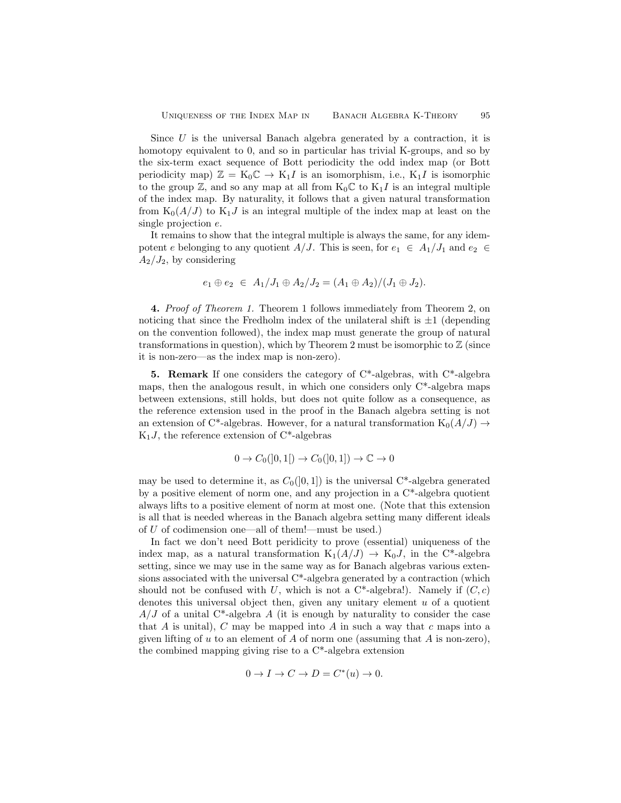Since  $U$  is the universal Banach algebra generated by a contraction, it is homotopy equivalent to 0, and so in particular has trivial K-groups, and so by the six-term exact sequence of Bott periodicity the odd index map (or Bott periodicity map)  $\mathbb{Z} = K_0 \mathbb{C} \to K_1 I$  is an isomorphism, i.e.,  $K_1 I$  is isomorphic to the group  $\mathbb{Z}$ , and so any map at all from  $K_0\mathbb{C}$  to  $K_1I$  is an integral multiple of the index map. By naturality, it follows that a given natural transformation from  $K_0(A/J)$  to  $K_1J$  is an integral multiple of the index map at least on the single projection e.

It remains to show that the integral multiple is always the same, for any idempotent e belonging to any quotient A/J. This is seen, for  $e_1 \in A_1/J_1$  and  $e_2 \in$  $A_2/J_2$ , by considering

$$
e_1 \oplus e_2 \in A_1/J_1 \oplus A_2/J_2 = (A_1 \oplus A_2)/(J_1 \oplus J_2).
$$

4. Proof of Theorem 1. Theorem 1 follows immediately from Theorem 2, on noticing that since the Fredholm index of the unilateral shift is  $\pm 1$  (depending on the convention followed), the index map must generate the group of natural transformations in question), which by Theorem 2 must be isomorphic to  $\mathbb Z$  (since it is non-zero—as the index map is non-zero).

**5. Remark** If one considers the category of  $C^*$ -algebras, with  $C^*$ -algebra maps, then the analogous result, in which one considers only  $C^*$ -algebra maps between extensions, still holds, but does not quite follow as a consequence, as the reference extension used in the proof in the Banach algebra setting is not an extension of C\*-algebras. However, for a natural transformation  $K_0(A/J) \rightarrow$  $K_1J$ , the reference extension of  $C^*$ -algebras

$$
0 \to C_0([0,1]) \to C_0([0,1]) \to \mathbb{C} \to 0
$$

may be used to determine it, as  $C_0([0,1])$  is the universal C<sup>\*</sup>-algebra generated by a positive element of norm one, and any projection in a C\*-algebra quotient always lifts to a positive element of norm at most one. (Note that this extension is all that is needed whereas in the Banach algebra setting many different ideals of U of codimension one—all of them!—must be used.)

In fact we don't need Bott peridicity to prove (essential) uniqueness of the index map, as a natural transformation  $K_1(A/J) \to K_0J$ , in the C<sup>\*</sup>-algebra setting, since we may use in the same way as for Banach algebras various extensions associated with the universal C\*-algebra generated by a contraction (which should not be confused with U, which is not a  $C^*$ -algebra!). Namely if  $(C, c)$ denotes this universal object then, given any unitary element  $u$  of a quotient  $A/J$  of a unital C<sup>\*</sup>-algebra A (it is enough by naturality to consider the case that A is unital), C may be mapped into A in such a way that  $c$  maps into a given lifting of u to an element of A of norm one (assuming that A is non-zero), the combined mapping giving rise to a C\*-algebra extension

$$
0 \to I \to C \to D = C^*(u) \to 0.
$$